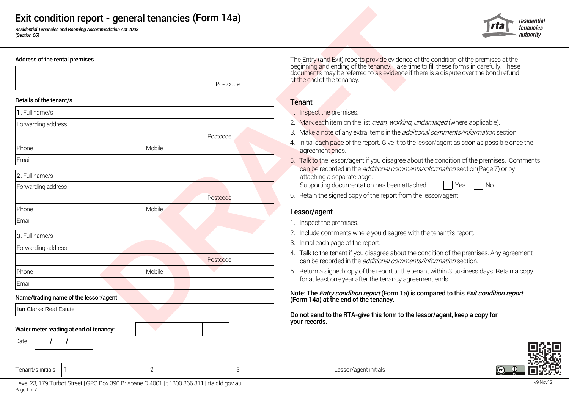# Exit condition report - general tenancies (Form 14a)



| Exit condition report - general tenancies (Form 14a)<br>Residential Tenancies and Rooming Accommodation Act 2008<br>(Section 66) |        |          |                                                                                                                                                                                                                       |
|----------------------------------------------------------------------------------------------------------------------------------|--------|----------|-----------------------------------------------------------------------------------------------------------------------------------------------------------------------------------------------------------------------|
| Address of the rental premises                                                                                                   |        |          | The Entry (and Exit) reports provide evidence of the condi<br>beginning and ending of the tenancy. Take time to fill thee<br>documents may be referred to as evidence if there is a di-<br>at the end of the tenancy. |
|                                                                                                                                  |        | Postcode |                                                                                                                                                                                                                       |
| Details of the tenant/s                                                                                                          |        |          | <b>Tenant</b>                                                                                                                                                                                                         |
| 1. Full name/s                                                                                                                   |        |          | 1. Inspect the premises.                                                                                                                                                                                              |
| Forwarding address                                                                                                               |        |          | 2. Mark each item on the list clean, working, undamaged                                                                                                                                                               |
|                                                                                                                                  |        | Postcode | 3. Make a note of any extra items in the <i>additional comr</i>                                                                                                                                                       |
| Phone                                                                                                                            | Mobile |          | 4. Initial each page of the report. Give it to the lessor/age<br>agreement ends.                                                                                                                                      |
| Email                                                                                                                            |        |          | 5. Talk to the lessor/agent if you disagree about the con                                                                                                                                                             |
| 2. Full name/s                                                                                                                   |        |          | can be recorded in the additional comments/informa<br>attaching a separate page.                                                                                                                                      |
| Forwarding address                                                                                                               |        |          | Supporting documentation has been attached                                                                                                                                                                            |
|                                                                                                                                  |        | Postcode | 6. Retain the signed copy of the report from the lessor/a                                                                                                                                                             |
| Phone                                                                                                                            | Mobile |          | Lessor/agent                                                                                                                                                                                                          |
| Email                                                                                                                            |        |          | 1. Inspect the premises.                                                                                                                                                                                              |
| 3. Full name/s                                                                                                                   |        |          | 2. Include comments where you disagree with the tenar                                                                                                                                                                 |
| Forwarding address                                                                                                               |        |          | 3. Initial each page of the report.                                                                                                                                                                                   |
|                                                                                                                                  |        | Postcode | 4. Talk to the tenant if you disagree about the condition<br>can be recorded in the <i>additional comments/informa</i>                                                                                                |
| Phone                                                                                                                            | Mobile |          | 5. Return a signed copy of the report to the tenant withir                                                                                                                                                            |
| Email                                                                                                                            |        |          | for at least one year after the tenancy agreement end                                                                                                                                                                 |
| Name/trading name of the lessor/agent                                                                                            |        |          | Note: The <i>Entry condition report</i> (Form 1a) is compared<br>(Form 14a) at the end of the tenancy.                                                                                                                |
| Ian Clarke Real Estate                                                                                                           |        |          |                                                                                                                                                                                                                       |
| Water meter reading at end of tenancy:                                                                                           |        |          | Do not send to the RTA-give this form to the lessor/age<br>your records.                                                                                                                                              |
| Date                                                                                                                             |        |          |                                                                                                                                                                                                                       |

Address of the rental premises **The Entry (and Exit)** reports provide evidence of the condition of the premises at the beginning and ending of the tenancy. Take time to fill these forms in carefully. These documents may be referred to as evidence if there is a dispute over the bond refund at the end of the tenancy.

- 1. Inspect the premises.
- 2. Mark each item on the list *clean, working, undamaged* (where applicable).
- 3. Make a note of any extra items in the *additional comments/information* section.
- 4. Initial each page of the report. Give it to the lessor/agent as soon as possible once the
- 5. Talk to the lessor/agent if you disagree about the condition of the premises. Comments can be recorded in the additional comments/information section(Page 7) or by attaching a separate page.

| Supporting documentation has been attached |  | Yes |  | - No |
|--------------------------------------------|--|-----|--|------|
|--------------------------------------------|--|-----|--|------|

6. Retain the signed copy of the report from the lessor/agent.

## Lessor/agent

- 1. Inspect the premises.
- 2. Include comments where you disagree with the tenant?s report.
- 3. Initial each page of the report.
- 4. Talk to the tenant if you disagree about the condition of the premises. Any agreement can be recorded in the *additional comments/information* section.
- 5. Return a signed copy of the report to the tenant within 3 business days. Retain a copy for at least one year after the tenancy agreement ends.

## Note: The Entry condition report (Form 1a) is compared to this Exit condition report (Form 14a) at the end of the tenancy.

Do not send to the RTA-give this form to the lessor/agent, keep a copy for your records.



| Level 23, 179 Turbot Street   GPO Box 390 Brisbane Q 4001   t 1300 366 311   rta.qld.gov.au |  |
|---------------------------------------------------------------------------------------------|--|
| Page 1 of 7                                                                                 |  |

1.

Tenant/s initials 2. 3. Lessor/agent initials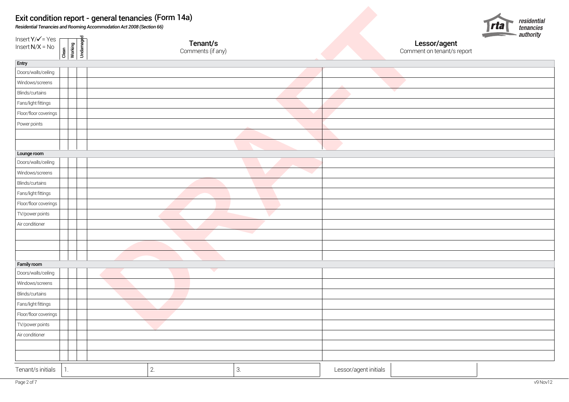| Exit condition report - general tenancies (Form 14a) |  |  |  |
|------------------------------------------------------|--|--|--|
|------------------------------------------------------|--|--|--|



|                                                  | Residential Tenancies and Rooming Accommodation Act 2008 (Section 66) | Exit condition report - general tenancies (Form 14a) |                 |                                            | residential<br>rta<br>tenancies |
|--------------------------------------------------|-----------------------------------------------------------------------|------------------------------------------------------|-----------------|--------------------------------------------|---------------------------------|
| $Insert Y/\checkmark = Yes$<br>$Insert N/X = No$ | Clean<br>Working<br>Undamaged                                         | Tenant/s<br>Comments (if any)                        |                 | Lessor/agent<br>Comment on tenant/s report | authority                       |
| Entry                                            |                                                                       |                                                      |                 |                                            |                                 |
| Doors/walls/ceiling                              |                                                                       |                                                      |                 |                                            |                                 |
| Windows/screens                                  |                                                                       |                                                      |                 |                                            |                                 |
| Blinds/curtains                                  |                                                                       |                                                      |                 |                                            |                                 |
| Fans/light fittings                              |                                                                       |                                                      |                 |                                            |                                 |
| Floor/floor coverings                            |                                                                       |                                                      |                 |                                            |                                 |
| Power points                                     |                                                                       |                                                      |                 |                                            |                                 |
|                                                  |                                                                       |                                                      |                 |                                            |                                 |
|                                                  |                                                                       |                                                      |                 |                                            |                                 |
| Lounge room                                      |                                                                       |                                                      |                 |                                            |                                 |
| Doors/walls/ceiling                              |                                                                       |                                                      |                 |                                            |                                 |
| Windows/screens                                  |                                                                       |                                                      |                 |                                            |                                 |
| Blinds/curtains                                  |                                                                       |                                                      |                 |                                            |                                 |
| Fans/light fittings                              |                                                                       |                                                      |                 |                                            |                                 |
| Floor/floor coverings                            |                                                                       |                                                      |                 |                                            |                                 |
| TV/power points                                  |                                                                       |                                                      |                 |                                            |                                 |
| Air conditioner                                  |                                                                       |                                                      |                 |                                            |                                 |
|                                                  |                                                                       |                                                      | <b>Contract</b> |                                            |                                 |
|                                                  |                                                                       |                                                      |                 |                                            |                                 |
|                                                  |                                                                       |                                                      |                 |                                            |                                 |
| Family room                                      |                                                                       |                                                      |                 |                                            |                                 |
| Doors/walls/ceiling                              |                                                                       | ×.                                                   |                 |                                            |                                 |
| Windows/screens                                  |                                                                       |                                                      |                 |                                            |                                 |
| Blinds/curtains                                  |                                                                       |                                                      |                 |                                            |                                 |
| Fans/light fittings                              |                                                                       |                                                      |                 |                                            |                                 |
| Floor/floor coverings                            |                                                                       |                                                      |                 |                                            |                                 |
| TV/power points                                  |                                                                       |                                                      |                 |                                            |                                 |
| Air conditioner                                  |                                                                       |                                                      |                 |                                            |                                 |
|                                                  |                                                                       |                                                      |                 |                                            |                                 |
|                                                  |                                                                       |                                                      |                 |                                            |                                 |
| Tenant/s initials                                | $\mathbb{1}$ .                                                        | 2.                                                   | З.              | Lessor/agent initials                      |                                 |
| Page 2 of 7                                      |                                                                       |                                                      |                 |                                            | v9 Nov12                        |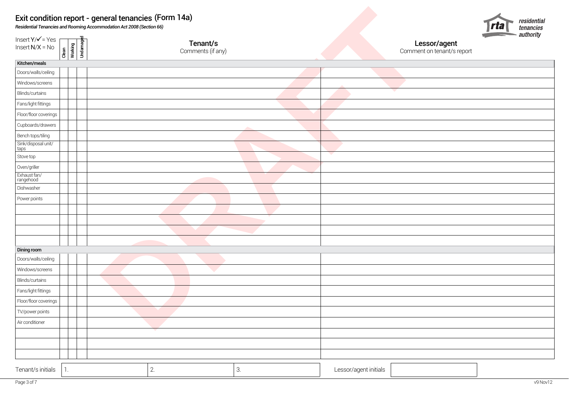

|                                                                    | Exit condition report - general tenancies (Form 14a)<br>Residential Tenancies and Rooming Accommodation Act 2008 (Section 66) |      |                                            | residential<br>rta<br>tenancies<br>authority |
|--------------------------------------------------------------------|-------------------------------------------------------------------------------------------------------------------------------|------|--------------------------------------------|----------------------------------------------|
| Insert $Y/\sqrt{Y} = Yes$<br>Clean<br>Working<br>$Insert N/X = No$ | Undamaged<br>Tenant/s<br>Comments (if any)                                                                                    |      | Lessor/agent<br>Comment on tenant/s report |                                              |
| Kitchen/meals                                                      |                                                                                                                               |      |                                            |                                              |
| Doors/walls/ceiling                                                |                                                                                                                               |      |                                            |                                              |
| Windows/screens                                                    |                                                                                                                               |      |                                            |                                              |
| Blinds/curtains                                                    |                                                                                                                               |      |                                            |                                              |
| Fans/light fittings                                                |                                                                                                                               |      |                                            |                                              |
| Floor/floor coverings                                              |                                                                                                                               |      |                                            |                                              |
| Cupboards/drawers                                                  |                                                                                                                               |      |                                            |                                              |
| Bench tops/tiling                                                  |                                                                                                                               |      |                                            |                                              |
| Sink/disposal unit/<br>taps                                        |                                                                                                                               |      |                                            |                                              |
| Stove top                                                          |                                                                                                                               |      |                                            |                                              |
| Oven/griller                                                       |                                                                                                                               |      |                                            |                                              |
| Exhaust fan/<br>rangehood                                          |                                                                                                                               |      |                                            |                                              |
| Dishwasher                                                         |                                                                                                                               |      |                                            |                                              |
| Power points                                                       |                                                                                                                               |      |                                            |                                              |
|                                                                    |                                                                                                                               |      |                                            |                                              |
|                                                                    |                                                                                                                               |      |                                            |                                              |
|                                                                    |                                                                                                                               |      |                                            |                                              |
|                                                                    |                                                                                                                               |      |                                            |                                              |
| Dining room                                                        |                                                                                                                               |      |                                            |                                              |
| Doors/walls/ceiling                                                |                                                                                                                               |      |                                            |                                              |
| Windows/screens                                                    |                                                                                                                               |      |                                            |                                              |
| Blinds/curtains                                                    |                                                                                                                               |      |                                            |                                              |
| Fans/light fittings                                                |                                                                                                                               |      |                                            |                                              |
| Floor/floor coverings                                              |                                                                                                                               |      |                                            |                                              |
| TV/power points                                                    |                                                                                                                               |      |                                            |                                              |
| Air conditioner                                                    |                                                                                                                               |      |                                            |                                              |
|                                                                    |                                                                                                                               |      |                                            |                                              |
|                                                                    |                                                                                                                               |      |                                            |                                              |
|                                                                    |                                                                                                                               |      |                                            |                                              |
| Tenant/s initials<br>1.                                            | 2.                                                                                                                            | $3.$ | Lessor/agent initials                      |                                              |
| Page 3 of 7                                                        |                                                                                                                               |      |                                            | v9 Nov12                                     |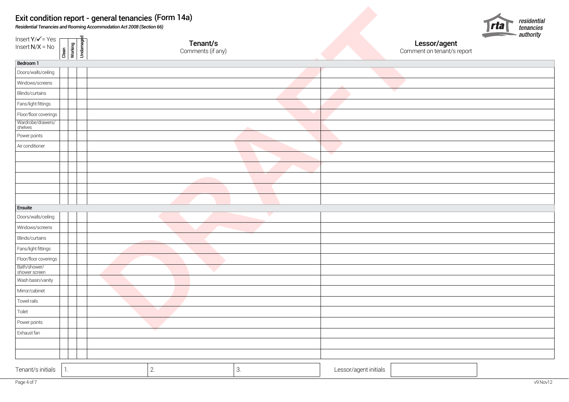## Exit condition report - general tenancies (Form 14a)



|                                                |                  |           | Exit condition report - general tenancies (Form 14a)<br>Residential Tenancies and Rooming Accommodation Act 2008 (Section 66) |                       |                                            | residential<br>rta<br>tenancies |
|------------------------------------------------|------------------|-----------|-------------------------------------------------------------------------------------------------------------------------------|-----------------------|--------------------------------------------|---------------------------------|
| Insert $Y/\sqrt{ }$ = Yes<br>$Insert N/X = No$ | Clean<br>Working | Undamaged | Tenant/s<br>Comments (if any)                                                                                                 |                       | Lessor/agent<br>Comment on tenant/s report | authority                       |
| Bedroom 1                                      |                  |           |                                                                                                                               |                       |                                            |                                 |
| Doors/walls/ceiling                            |                  |           |                                                                                                                               |                       |                                            |                                 |
| Windows/screens                                |                  |           |                                                                                                                               |                       |                                            |                                 |
| Blinds/curtains                                |                  |           |                                                                                                                               |                       |                                            |                                 |
| Fans/light fittings                            |                  |           |                                                                                                                               |                       |                                            |                                 |
| Floor/floor coverings                          |                  |           |                                                                                                                               |                       |                                            |                                 |
| Wardrobe/drawers/<br>shelves                   |                  |           |                                                                                                                               |                       |                                            |                                 |
| Power points                                   |                  |           |                                                                                                                               |                       |                                            |                                 |
| Air conditioner                                |                  |           |                                                                                                                               |                       |                                            |                                 |
|                                                |                  |           |                                                                                                                               |                       |                                            |                                 |
|                                                |                  |           |                                                                                                                               |                       |                                            |                                 |
|                                                |                  |           |                                                                                                                               |                       |                                            |                                 |
|                                                |                  |           |                                                                                                                               |                       |                                            |                                 |
|                                                |                  |           |                                                                                                                               |                       |                                            |                                 |
| Ensuite                                        |                  |           |                                                                                                                               |                       |                                            |                                 |
| Doors/walls/ceiling                            |                  |           |                                                                                                                               |                       |                                            |                                 |
| Windows/screens                                |                  |           |                                                                                                                               |                       |                                            |                                 |
| Blinds/curtains                                |                  |           |                                                                                                                               |                       |                                            |                                 |
| Fans/light fittings                            |                  |           |                                                                                                                               |                       |                                            |                                 |
| Floor/floor coverings                          |                  |           |                                                                                                                               |                       |                                            |                                 |
| Bath/shower/<br>shower screen                  |                  |           |                                                                                                                               |                       |                                            |                                 |
| Wash basin/vanity                              |                  |           |                                                                                                                               |                       |                                            |                                 |
| Mirror/cabinet                                 |                  |           |                                                                                                                               |                       |                                            |                                 |
| Towel rails                                    |                  |           |                                                                                                                               |                       |                                            |                                 |
| Toilet                                         |                  |           |                                                                                                                               |                       |                                            |                                 |
| Power points                                   |                  |           |                                                                                                                               |                       |                                            |                                 |
| Exhaust fan                                    |                  |           |                                                                                                                               |                       |                                            |                                 |
|                                                |                  |           |                                                                                                                               |                       |                                            |                                 |
|                                                |                  |           |                                                                                                                               |                       |                                            |                                 |
| Tenant/s initials                              | 1.               |           | 2.<br>$3. \,$                                                                                                                 | Lessor/agent initials |                                            |                                 |
| Page 4 of 7                                    |                  |           |                                                                                                                               |                       |                                            | v9 Nov12                        |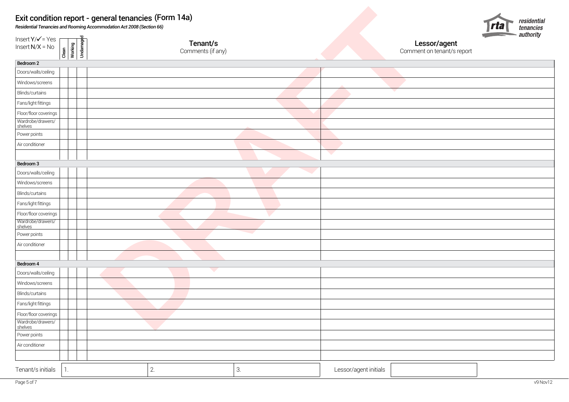

| Insert $Y/\sqrt{ }$ = Yes    |                  | Exit condition report - general tenancies (Form 14a)<br>Residential Tenancies and Rooming Accommodation Act 2008 (Section 66) |                       |                                            | residential<br>rta<br>tenancies<br>authority |
|------------------------------|------------------|-------------------------------------------------------------------------------------------------------------------------------|-----------------------|--------------------------------------------|----------------------------------------------|
| $Insert N/X = No$            | Clean<br>Working | Undamaged<br>Tenant/s<br>Comments (if any)                                                                                    |                       | Lessor/agent<br>Comment on tenant/s report |                                              |
| Bedroom 2                    |                  |                                                                                                                               |                       |                                            |                                              |
| Doors/walls/ceiling          |                  |                                                                                                                               |                       |                                            |                                              |
| Windows/screens              |                  |                                                                                                                               |                       |                                            |                                              |
| Blinds/curtains              |                  |                                                                                                                               |                       |                                            |                                              |
| Fans/light fittings          |                  |                                                                                                                               |                       |                                            |                                              |
| Floor/floor coverings        |                  |                                                                                                                               |                       |                                            |                                              |
| Wardrobe/drawers/<br>shelves |                  |                                                                                                                               |                       |                                            |                                              |
| Power points                 |                  |                                                                                                                               |                       |                                            |                                              |
| Air conditioner              |                  |                                                                                                                               |                       |                                            |                                              |
|                              |                  |                                                                                                                               | k.                    |                                            |                                              |
| Bedroom 3                    |                  |                                                                                                                               |                       |                                            |                                              |
| Doors/walls/ceiling          |                  |                                                                                                                               |                       |                                            |                                              |
| Windows/screens              |                  |                                                                                                                               |                       |                                            |                                              |
| Blinds/curtains              |                  |                                                                                                                               |                       |                                            |                                              |
| Fans/light fittings          |                  |                                                                                                                               |                       |                                            |                                              |
| Floor/floor coverings        |                  |                                                                                                                               |                       |                                            |                                              |
| Wardrobe/drawers/<br>shelves |                  |                                                                                                                               |                       |                                            |                                              |
| Power points                 |                  | <b>STATISTICS</b>                                                                                                             |                       |                                            |                                              |
| Air conditioner              |                  |                                                                                                                               |                       |                                            |                                              |
|                              |                  |                                                                                                                               |                       |                                            |                                              |
| Bedroom 4                    |                  |                                                                                                                               |                       |                                            |                                              |
| Doors/walls/ceiling          |                  | k.                                                                                                                            |                       |                                            |                                              |
| Windows/screens              |                  |                                                                                                                               |                       |                                            |                                              |
| Blinds/curtains              |                  |                                                                                                                               |                       |                                            |                                              |
| Fans/light fittings          |                  |                                                                                                                               |                       |                                            |                                              |
| Floor/floor coverings        |                  |                                                                                                                               |                       |                                            |                                              |
| Wardrobe/drawers/<br>shelves |                  |                                                                                                                               |                       |                                            |                                              |
| Power points                 |                  |                                                                                                                               |                       |                                            |                                              |
| Air conditioner              |                  |                                                                                                                               |                       |                                            |                                              |
|                              |                  |                                                                                                                               |                       |                                            |                                              |
| Tenant/s initials            | 1.               | З.<br>2.                                                                                                                      | Lessor/agent initials |                                            |                                              |
| Page 5 of 7                  |                  |                                                                                                                               |                       |                                            | v9 Nov12                                     |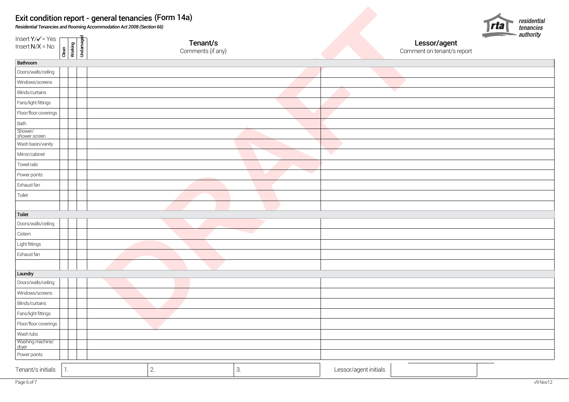|                                                |                               | Exit condition report - general tenancies (Form 14a)<br>Residential Tenancies and Rooming Accommodation Act 2008 (Section 66) |                               |    |                       |                                            | residential<br>'Ia<br>tenancies |
|------------------------------------------------|-------------------------------|-------------------------------------------------------------------------------------------------------------------------------|-------------------------------|----|-----------------------|--------------------------------------------|---------------------------------|
| Insert $Y/\sqrt{ }$ = Yes<br>$Insert N/X = No$ | Clean<br>Working<br>Undamaged |                                                                                                                               | Tenant/s<br>Comments (if any) |    |                       | Lessor/agent<br>Comment on tenant/s report | authority                       |
| Bathroom                                       |                               |                                                                                                                               |                               |    |                       |                                            |                                 |
| Doors/walls/ceiling                            |                               |                                                                                                                               |                               |    |                       |                                            |                                 |
| Windows/screens                                |                               |                                                                                                                               |                               |    |                       |                                            |                                 |
| Blinds/curtains                                |                               |                                                                                                                               |                               |    |                       |                                            |                                 |
| Fans/light fittings                            |                               |                                                                                                                               |                               |    |                       |                                            |                                 |
| Floor/floor coverings                          |                               |                                                                                                                               |                               |    |                       |                                            |                                 |
| Bath                                           |                               |                                                                                                                               |                               |    |                       |                                            |                                 |
| Shower/<br>shower screen                       |                               |                                                                                                                               |                               |    |                       |                                            |                                 |
| Wash basin/vanity                              |                               |                                                                                                                               |                               |    |                       |                                            |                                 |
| Mirror/cabinet                                 |                               |                                                                                                                               |                               |    | с,                    |                                            |                                 |
| Towel rails                                    |                               |                                                                                                                               |                               |    |                       |                                            |                                 |
| Power points                                   |                               |                                                                                                                               |                               |    | sta 1                 |                                            |                                 |
| Exhaust fan                                    |                               |                                                                                                                               |                               |    |                       |                                            |                                 |
| Toilet                                         |                               |                                                                                                                               |                               |    |                       |                                            |                                 |
|                                                |                               |                                                                                                                               |                               |    |                       |                                            |                                 |
| Toilet                                         |                               |                                                                                                                               |                               |    |                       |                                            |                                 |
| Doors/walls/ceiling                            |                               |                                                                                                                               |                               |    |                       |                                            |                                 |
| Cistern                                        |                               |                                                                                                                               |                               |    |                       |                                            |                                 |
| Light fittings                                 |                               |                                                                                                                               |                               |    |                       |                                            |                                 |
| Exhaust fan                                    |                               |                                                                                                                               |                               |    |                       |                                            |                                 |
|                                                |                               |                                                                                                                               |                               |    |                       |                                            |                                 |
| Laundry                                        |                               |                                                                                                                               |                               |    |                       |                                            |                                 |
| Doors/walls/ceiling                            |                               |                                                                                                                               |                               |    |                       |                                            |                                 |
| Windows/screens                                |                               |                                                                                                                               |                               |    |                       |                                            |                                 |
| Blinds/curtains                                |                               |                                                                                                                               |                               |    |                       |                                            |                                 |
| Fans/light fittings                            |                               |                                                                                                                               |                               |    |                       |                                            |                                 |
| Floor/floor coverings                          |                               |                                                                                                                               |                               |    |                       |                                            |                                 |
| Wash tubs                                      |                               |                                                                                                                               |                               |    |                       |                                            |                                 |
| Washing machine/<br>dryer                      |                               |                                                                                                                               |                               |    |                       |                                            |                                 |
| Power points                                   |                               |                                                                                                                               |                               |    |                       |                                            |                                 |
| Tenant/s initials                              | $\mathbb{1}$ .                |                                                                                                                               | 2.                            | 3. | Lessor/agent initials |                                            |                                 |
|                                                |                               |                                                                                                                               |                               |    |                       |                                            |                                 |
| Page 6 of 7                                    |                               |                                                                                                                               |                               |    |                       |                                            | v9 Nov12                        |